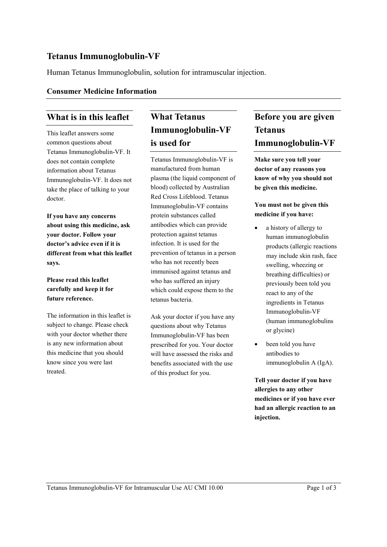## **Tetanus Immunoglobulin-VF**

Human Tetanus Immunoglobulin, solution for intramuscular injection.

#### **Consumer Medicine Information**

#### **What is in this leaflet**

This leaflet answers some common questions about Tetanus Immunoglobulin-VF. It does not contain complete information about Tetanus Immunoglobulin-VF. It does not take the place of talking to your doctor.

**If you have any concerns about using this medicine, ask your doctor. Follow your doctor's advice even if it is different from what this leaflet says.**

#### **Please read this leaflet carefully and keep it for future reference.**

The information in this leaflet is subject to change. Please check with your doctor whether there is any new information about this medicine that you should know since you were last treated.

# **What Tetanus Immunoglobulin-VF is used for**

Tetanus Immunoglobulin-VF is manufactured from human plasma (the liquid component of blood) collected by Australian Red Cross Lifeblood. Tetanus Immunoglobulin-VF contains protein substances called antibodies which can provide protection against tetanus infection. It is used for the prevention of tetanus in a person who has not recently been immunised against tetanus and who has suffered an injury which could expose them to the tetanus bacteria.

Ask your doctor if you have any questions about why Tetanus Immunoglobulin-VF has been prescribed for you. Your doctor will have assessed the risks and benefits associated with the use of this product for you.

# **Before you are given Tetanus Immunoglobulin-VF**

**Make sure you tell your doctor of any reasons you know of why you should not be given this medicine.**

#### **You must not be given this medicine if you have:**

- a history of allergy to human immunoglobulin products (allergic reactions may include skin rash, face swelling, wheezing or breathing difficulties) or previously been told you react to any of the ingredients in Tetanus Immunoglobulin-VF (human immunoglobulins or glycine)
- been told you have antibodies to immunoglobulin A (IgA).

**Tell your doctor if you have allergies to any other medicines or if you have ever had an allergic reaction to an injection.**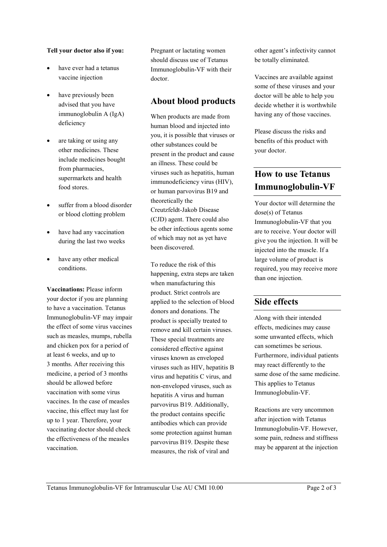#### **Tell your doctor also if you:**

- have ever had a tetanus vaccine injection
- have previously been advised that you have immunoglobulin A (IgA) deficiency
- are taking or using any other medicines. These include medicines bought from pharmacies, supermarkets and health food stores.
- suffer from a blood disorder or blood clotting problem
- have had any vaccination during the last two weeks
- have any other medical conditions.

**Vaccinations:** Please inform your doctor if you are planning to have a vaccination. Tetanus Immunoglobulin-VF may impair the effect of some virus vaccines such as measles, mumps, rubella and chicken pox for a period of at least 6 weeks, and up to 3 months. After receiving this medicine, a period of 3 months should be allowed before vaccination with some virus vaccines. In the case of measles vaccine, this effect may last for up to 1 year. Therefore, your vaccinating doctor should check the effectiveness of the measles vaccination.

Pregnant or lactating women should discuss use of Tetanus Immunoglobulin-VF with their doctor.

### **About blood products**

When products are made from human blood and injected into you, it is possible that viruses or other substances could be present in the product and cause an illness. These could be viruses such as hepatitis, human immunodeficiency virus (HIV), or human parvovirus B19 and theoretically the Creutzfeldt-Jakob Disease (CJD) agent. There could also be other infectious agents some of which may not as yet have been discovered.

To reduce the risk of this happening, extra steps are taken when manufacturing this product. Strict controls are applied to the selection of blood donors and donations. The product is specially treated to remove and kill certain viruses. These special treatments are considered effective against viruses known as enveloped viruses such as HIV, hepatitis B virus and hepatitis C virus, and non-enveloped viruses, such as hepatitis A virus and human parvovirus B19. Additionally, the product contains specific antibodies which can provide some protection against human parvovirus B19. Despite these measures, the risk of viral and

other agent's infectivity cannot be totally eliminated.

Vaccines are available against some of these viruses and your doctor will be able to help you decide whether it is worthwhile having any of those vaccines.

Please discuss the risks and benefits of this product with your doctor.

# **How to use Tetanus Immunoglobulin-VF**

Your doctor will determine the dose(s) of Tetanus Immunoglobulin-VF that you are to receive. Your doctor will give you the injection. It will be injected into the muscle. If a large volume of product is required, you may receive more than one injection.

### **Side effects**

Along with their intended effects, medicines may cause some unwanted effects, which can sometimes be serious. Furthermore, individual patients may react differently to the same dose of the same medicine. This applies to Tetanus Immunoglobulin-VF.

Reactions are very uncommon after injection with Tetanus Immunoglobulin-VF. However, some pain, redness and stiffness may be apparent at the injection